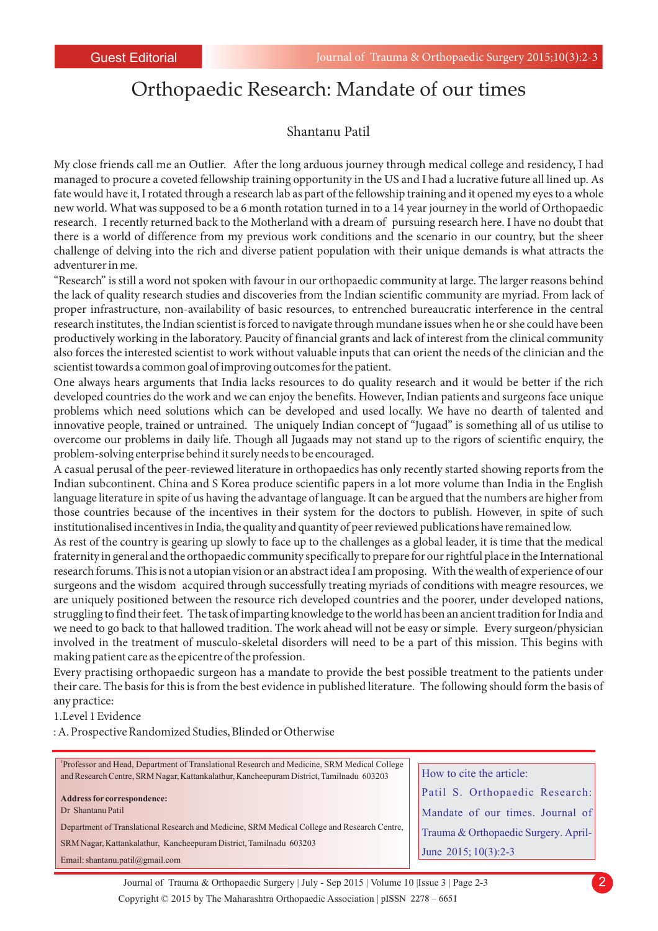## Orthopaedic Research: Mandate of our times

## Shantanu Patil

My close friends call me an Outlier. After the long arduous journey through medical college and residency, I had managed to procure a coveted fellowship training opportunity in the US and I had a lucrative future all lined up. As fate would have it, I rotated through a research lab as part of the fellowship training and it opened my eyes to a whole new world. What was supposed to be a 6 month rotation turned in to a 14 year journey in the world of Orthopaedic research. I recently returned back to the Motherland with a dream of pursuing research here. I have no doubt that there is a world of difference from my previous work conditions and the scenario in our country, but the sheer challenge of delving into the rich and diverse patient population with their unique demands is what attracts the adventurer in me.

"Research" is still a word not spoken with favour in our orthopaedic community at large. The larger reasons behind the lack of quality research studies and discoveries from the Indian scientific community are myriad. From lack of proper infrastructure, non-availability of basic resources, to entrenched bureaucratic interference in the central research institutes, the Indian scientist is forced to navigate through mundane issues when he or she could have been productively working in the laboratory. Paucity of financial grants and lack of interest from the clinical community also forces the interested scientist to work without valuable inputs that can orient the needs of the clinician and the scientist towards a common goal of improving outcomes for the patient.

One always hears arguments that India lacks resources to do quality research and it would be better if the rich developed countries do the work and we can enjoy the benefits. However, Indian patients and surgeons face unique problems which need solutions which can be developed and used locally. We have no dearth of talented and innovative people, trained or untrained. The uniquely Indian concept of "Jugaad" is something all of us utilise to overcome our problems in daily life. Though all Jugaads may not stand up to the rigors of scientific enquiry, the problem-solving enterprise behind it surely needs to be encouraged.

A casual perusal of the peer-reviewed literature in orthopaedics has only recently started showing reports from the Indian subcontinent. China and S Korea produce scientific papers in a lot more volume than India in the English language literature in spite of us having the advantage of language. It can be argued that the numbers are higher from those countries because of the incentives in their system for the doctors to publish. However, in spite of such institutionalised incentives in India, the quality and quantity of peer reviewed publications have remained low.

As rest of the country is gearing up slowly to face up to the challenges as a global leader, it is time that the medical fraternity in general and the orthopaedic community specifically to prepare for our rightful place in the International research forums. This is not a utopian vision or an abstract idea I am proposing. With the wealth of experience of our surgeons and the wisdom acquired through successfully treating myriads of conditions with meagre resources, we are uniquely positioned between the resource rich developed countries and the poorer, under developed nations, struggling to find their feet. The task of imparting knowledge to the world has been an ancient tradition for India and we need to go back to that hallowed tradition. The work ahead will not be easy or simple. Every surgeon/physician involved in the treatment of musculo-skeletal disorders will need to be a part of this mission. This begins with making patient care as the epicentre of the profession.

Every practising orthopaedic surgeon has a mandate to provide the best possible treatment to the patients under their care. The basis for this is from the best evidence in published literature. The following should form the basis of any practice:

## 1.Level 1 Evidence

: A. Prospective Randomized Studies, Blinded or Otherwise

| Professor and Head, Department of Translational Research and Medicine, SRM Medical College<br>and Research Centre, SRM Nagar, Kattankalathur, Kancheepuram District, Tamilnadu 603203                                                                           | How to cite the article:                                                                                                           |
|-----------------------------------------------------------------------------------------------------------------------------------------------------------------------------------------------------------------------------------------------------------------|------------------------------------------------------------------------------------------------------------------------------------|
| <b>Address for correspondence:</b><br>Dr Shantanu Patil<br>Department of Translational Research and Medicine, SRM Medical College and Research Centre,<br>SRM Nagar, Kattankalathur, Kancheepuram District, Tamilnadu 603203<br>Email: shantanu.patil@gmail.com | Patil S. Orthopaedic Research:<br>Mandate of our times. Journal of<br>Trauma & Orthopaedic Surgery. April-<br>June 2015; 10(3):2-3 |